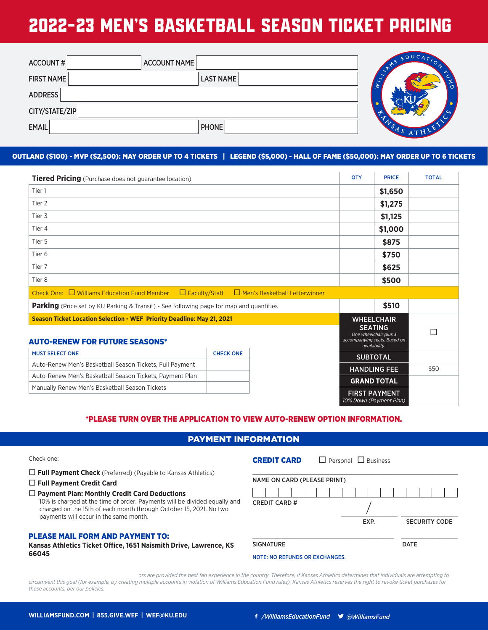| Tiered Pricing (Purchase does not guarantee location)                                                 | <b>QTY</b>                                                                                                    | <b>PRICE</b> | <b>TOTAL</b> |
|-------------------------------------------------------------------------------------------------------|---------------------------------------------------------------------------------------------------------------|--------------|--------------|
| Tier 1                                                                                                |                                                                                                               | \$1,650      |              |
| Tier 2                                                                                                |                                                                                                               | \$1,275      |              |
| Tier 3                                                                                                |                                                                                                               | \$1,125      |              |
| Tier 4                                                                                                |                                                                                                               | \$1,000      |              |
| Tier 5                                                                                                |                                                                                                               | \$875        |              |
| Tier 6                                                                                                |                                                                                                               | \$750        |              |
| Tier 7                                                                                                |                                                                                                               | \$625        |              |
| Tier 8                                                                                                |                                                                                                               | \$500        |              |
| <b>Williams Education Fund Member</b><br>Faculty/Staff<br>Check One:<br>Men's Basketball Letterwinner |                                                                                                               |              |              |
| Parking (Price set by KU Parking & Transit) - See following page for map and quantities               |                                                                                                               | \$510        |              |
| Season Ticket Location Selection - WEF Priority Deadline: #202                                        | <b>WHEELCHAIR</b><br><b>SEATING</b><br>One wheelchair plus 3<br>accompanying seats. Based on<br>availability. |              | $\cdots$     |
|                                                                                                       | <b>SUBTOTAL</b>                                                                                               |              |              |
| Auto-Renew Men's Basketball Season Tickets, Full Payment                                              | <b>HANDLING FEE</b>                                                                                           |              | \$50         |
| Auto-Renew Men's Basketball Season Tickets, Payment Plan                                              | <b>GRAND TOTAL</b>                                                                                            |              |              |
| Manually Renew Men's Basketball Season Tickets                                                        | <b>FIRST PAYMENT</b><br>10% Down (Payment Plan)                                                               |              |              |

\*PLEASE TURN OVER THE APPLICATION TO VIEW AUTO-RENEW OPTION INFORMATION.